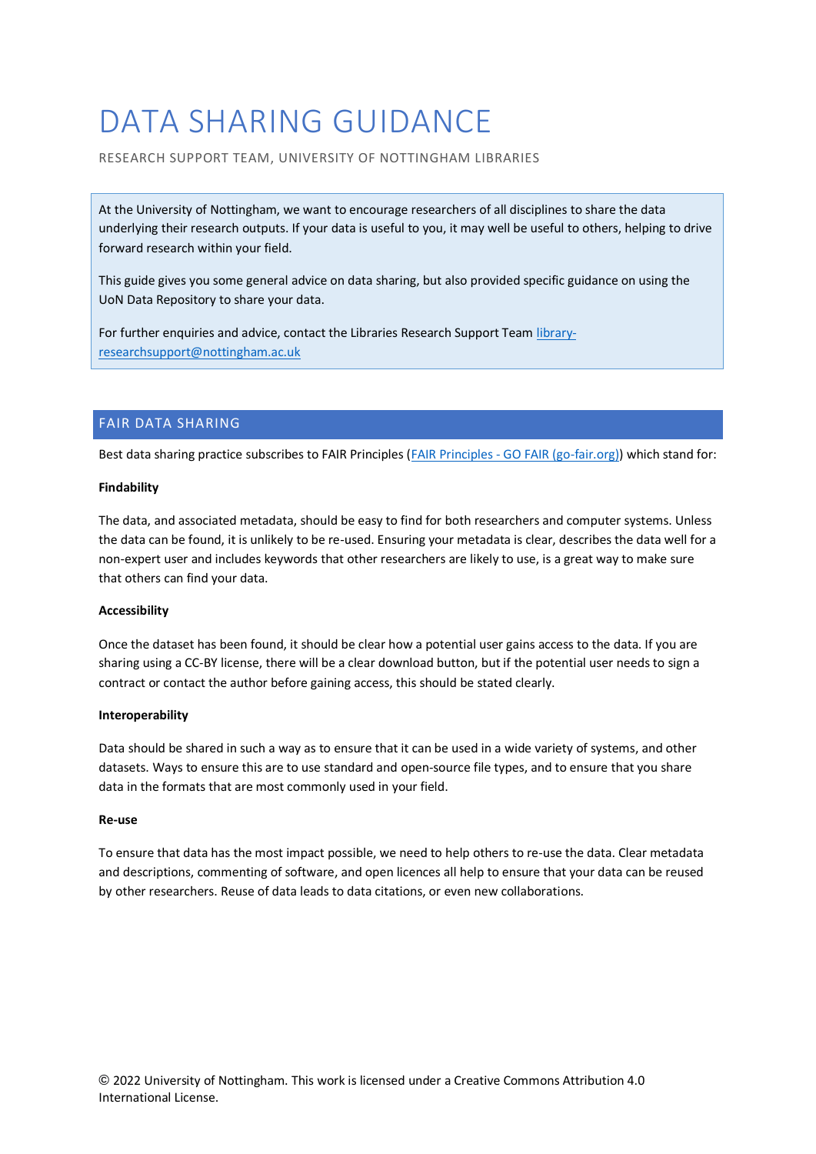# DATA SHARING GUIDANCE

RESEARCH SUPPORT TEAM, UNIVERSITY OF NOTTINGHAM LIBRARIES

At the University of Nottingham, we want to encourage researchers of all disciplines to share the data underlying their research outputs. If your data is useful to you, it may well be useful to others, helping to drive forward research within your field.

This guide gives you some general advice on data sharing, but also provided specific guidance on using the UoN Data Repository to share your data.

For further enquiries and advice, contact the Libraries Research Support Team [library](mailto:library-researchsupport@nottingham.ac.uk)[researchsupport@nottingham.ac.uk](mailto:library-researchsupport@nottingham.ac.uk)

## FAIR DATA SHARING

Best data sharing practice subscribes to FAIR Principles (FAIR Principles - [GO FAIR \(go-fair.org\)\)](https://www.go-fair.org/fair-principles/) which stand for:

#### **Findability**

The data, and associated metadata, should be easy to find for both researchers and computer systems. Unless the data can be found, it is unlikely to be re-used. Ensuring your metadata is clear, describes the data well for a non-expert user and includes keywords that other researchers are likely to use, is a great way to make sure that others can find your data.

### **Accessibility**

Once the dataset has been found, it should be clear how a potential user gains access to the data. If you are sharing using a CC-BY license, there will be a clear download button, but if the potential user needs to sign a contract or contact the author before gaining access, this should be stated clearly.

#### **Interoperability**

Data should be shared in such a way as to ensure that it can be used in a wide variety of systems, and other datasets. Ways to ensure this are to use standard and open-source file types, and to ensure that you share data in the formats that are most commonly used in your field.

#### **Re-use**

To ensure that data has the most impact possible, we need to help others to re-use the data. Clear metadata and descriptions, commenting of software, and open licences all help to ensure that your data can be reused by other researchers. Reuse of data leads to data citations, or even new collaborations.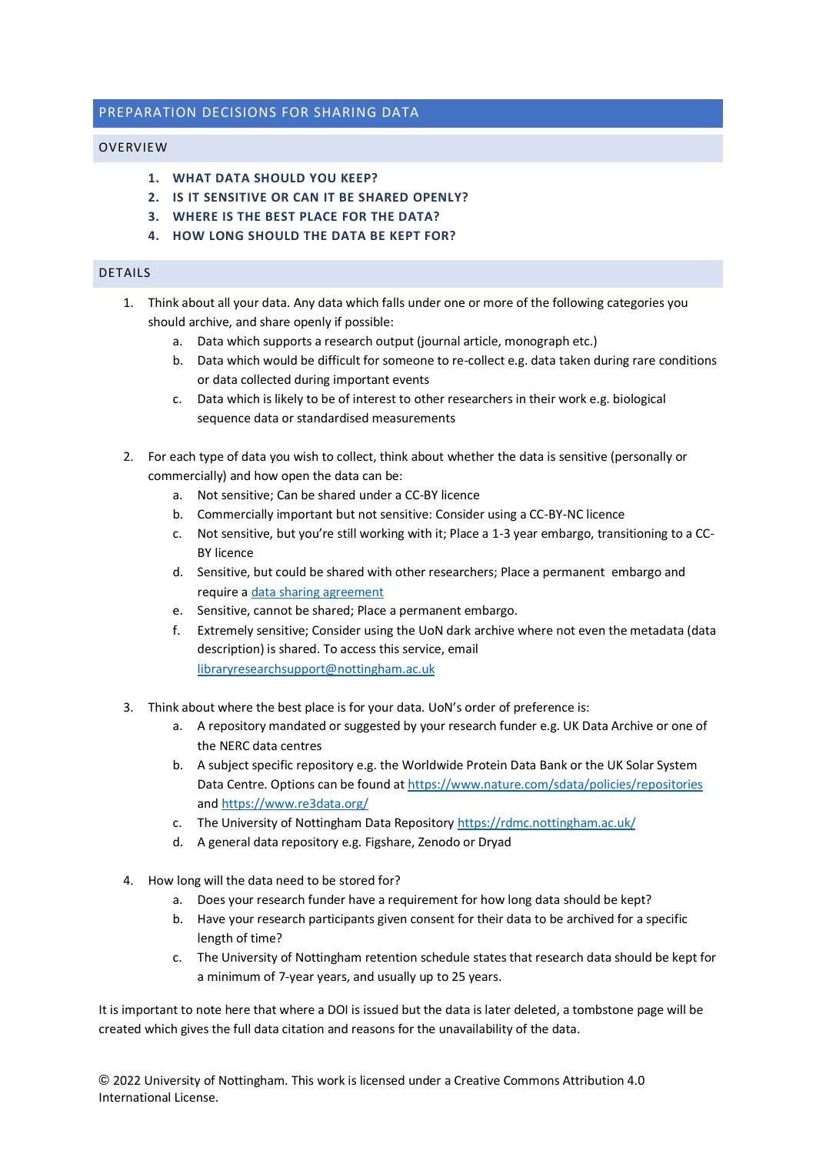# PREPARATION DECISIONS FOR SHARING DATA

## OVERVIEW

- **1. WHAT DATA SHOULD YOU KEEP?**
- **2. IS IT SENSITIVE OR CAN IT BE SHARED OPENLY?**
- **3. WHERE IS THE BEST PLACE FOR THE DATA?**
- **4. HOW LONG SHOULD THE DATA BE KEPT FOR?**

# DETAILS

- 1. Think about all your data. Any data which falls under one or more of the following categories you should archive, and share openly if possible:
	- a. Data which supports a research output (journal article, monograph etc.)
	- b. Data which would be difficult for someone to re-collect e.g. data taken during rare conditions or data collected during important events
	- c. Data which is likely to be of interest to other researchers in their work e.g. biological sequence data or standardised measurements
- 2. For each type of data you wish to collect, think about whether the data is sensitive (personally or commercially) and how open the data can be:
	- a. Not sensitive; Can be shared under a CC-BY licence
	- b. Commercially important but not sensitive: Consider using a CC-BY-NC licence
	- c. Not sensitive, but you're still working with it; Place a 1-3 year embargo, transitioning to a CC-BY licence
	- d. Sensitive, but could be shared with other researchers; Place a permanent embargo and require [a data sharing agreement](https://uniofnottm.sharepoint.com/sites/DigitalResearch/SitePages/Restricting-access-to-data.aspx)
	- e. Sensitive, cannot be shared; Place a permanent embargo.
	- f. Extremely sensitive; Consider using the UoN dark archive where not even the metadata (data description) is shared. To access this service, email [libraryresearchsupport@nottingham.ac.uk](mailto:libraryresearchsupport@nottingham.ac.uk)
- 3. Think about where the best place is for your data. UoN's order of preference is:
	- a. A repository mandated or suggested by your research funder e.g. UK Data Archive or one of the NERC data centres
	- b. A subject specific repository e.g. the Worldwide Protein Data Bank or the UK Solar System Data Centre. Options can be found a[t https://www.nature.com/sdata/policies/repositories](https://www.nature.com/sdata/policies/repositories) an[d https://www.re3data.org/](https://www.re3data.org/)
	- c. The University of Nottingham Data Repositor[y https://rdmc.nottingham.ac.uk/](https://rdmc.nottingham.ac.uk/)
	- d. A general data repository e.g. Figshare, Zenodo or Dryad
- 4. How long will the data need to be stored for?
	- a. Does your research funder have a requirement for how long data should be kept?
	- b. Have your research participants given consent for their data to be archived for a specific length of time?
	- c. The University of Nottingham retention schedule states that research data should be kept for a minimum of 7-year years, and usually up to 25 years.

It is important to note here that where a DOI is issued but the data is later deleted, a tombstone page will be created which gives the full data citation and reasons for the unavailability of the data.

**©** 2022 University of Nottingham. This work is licensed under a Creative Commons Attribution 4.0 International License.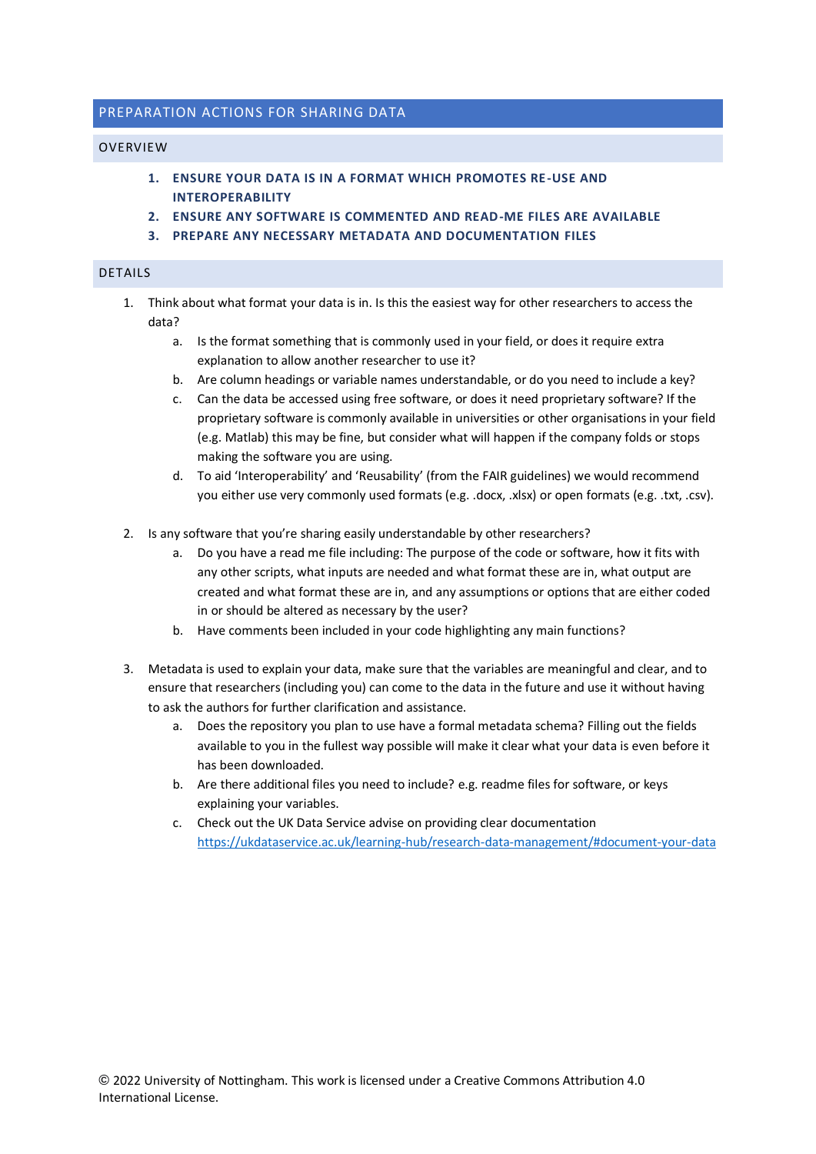# PREPARATION ACTIONS FOR SHARING DATA

#### OVERVIEW

- **1. ENSURE YOUR DATA IS IN A FORMAT WHICH PROMOTES RE-USE AND INTEROPERABILITY**
- **2. ENSURE ANY SOFTWARE IS COMMENTED AND READ-ME FILES ARE AVAILABLE**
- **3. PREPARE ANY NECESSARY METADATA AND DOCUMENTATION FILES**

## DETAILS

- 1. Think about what format your data is in. Is this the easiest way for other researchers to access the data?
	- a. Is the format something that is commonly used in your field, or does it require extra explanation to allow another researcher to use it?
	- b. Are column headings or variable names understandable, or do you need to include a key?
	- c. Can the data be accessed using free software, or does it need proprietary software? If the proprietary software is commonly available in universities or other organisations in your field (e.g. Matlab) this may be fine, but consider what will happen if the company folds or stops making the software you are using.
	- d. To aid 'Interoperability' and 'Reusability' (from the FAIR guidelines) we would recommend you either use very commonly used formats (e.g. .docx, .xlsx) or open formats (e.g. .txt, .csv).
- 2. Is any software that you're sharing easily understandable by other researchers?
	- a. Do you have a read me file including: The purpose of the code or software, how it fits with any other scripts, what inputs are needed and what format these are in, what output are created and what format these are in, and any assumptions or options that are either coded in or should be altered as necessary by the user?
	- b. Have comments been included in your code highlighting any main functions?
- 3. Metadata is used to explain your data, make sure that the variables are meaningful and clear, and to ensure that researchers (including you) can come to the data in the future and use it without having to ask the authors for further clarification and assistance.
	- a. Does the repository you plan to use have a formal metadata schema? Filling out the fields available to you in the fullest way possible will make it clear what your data is even before it has been downloaded.
	- b. Are there additional files you need to include? e.g. readme files for software, or keys explaining your variables.
	- c. Check out the UK Data Service advise on providing clear documentation <https://ukdataservice.ac.uk/learning-hub/research-data-management/#document-your-data>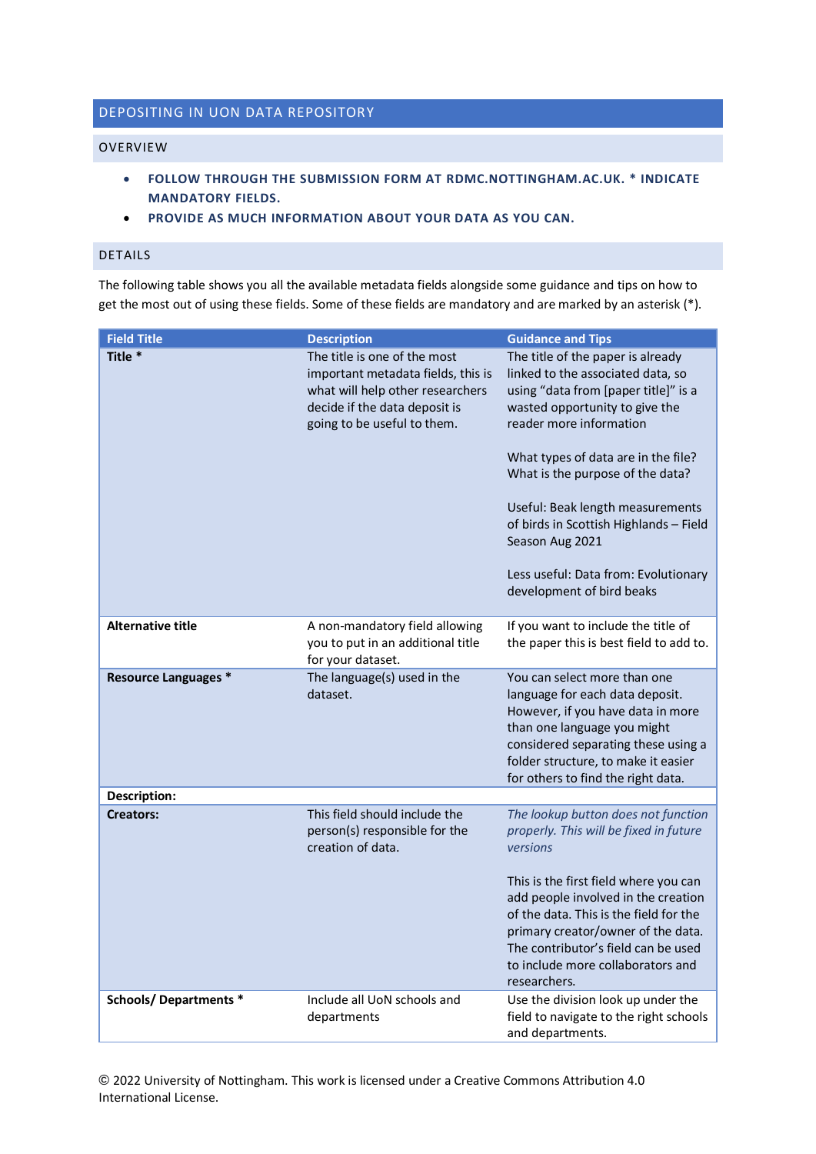# DEPOSITING IN UON DATA REPOSITORY

#### OVERVIEW

- **FOLLOW THROUGH THE SUBMISSION FORM AT RDMC.NOTTINGHAM.AC.UK. \* INDICATE MANDATORY FIELDS.**
- **PROVIDE AS MUCH INFORMATION ABOUT YOUR DATA AS YOU CAN.**

# DETAILS

The following table shows you all the available metadata fields alongside some guidance and tips on how to get the most out of using these fields. Some of these fields are mandatory and are marked by an asterisk (\*).

| <b>Field Title</b>           | <b>Description</b>                                                                                                                                                     | <b>Guidance and Tips</b>                                                                                                                                                                                                                                                                                                                                                                                                     |
|------------------------------|------------------------------------------------------------------------------------------------------------------------------------------------------------------------|------------------------------------------------------------------------------------------------------------------------------------------------------------------------------------------------------------------------------------------------------------------------------------------------------------------------------------------------------------------------------------------------------------------------------|
| Title <sup>*</sup>           | The title is one of the most<br>important metadata fields, this is<br>what will help other researchers<br>decide if the data deposit is<br>going to be useful to them. | The title of the paper is already<br>linked to the associated data, so<br>using "data from [paper title]" is a<br>wasted opportunity to give the<br>reader more information<br>What types of data are in the file?<br>What is the purpose of the data?<br>Useful: Beak length measurements<br>of birds in Scottish Highlands - Field<br>Season Aug 2021<br>Less useful: Data from: Evolutionary<br>development of bird beaks |
| <b>Alternative title</b>     | A non-mandatory field allowing<br>you to put in an additional title<br>for your dataset.                                                                               | If you want to include the title of<br>the paper this is best field to add to.                                                                                                                                                                                                                                                                                                                                               |
| <b>Resource Languages *</b>  | The language(s) used in the<br>dataset.                                                                                                                                | You can select more than one<br>language for each data deposit.<br>However, if you have data in more<br>than one language you might<br>considered separating these using a<br>folder structure, to make it easier<br>for others to find the right data.                                                                                                                                                                      |
| Description:                 |                                                                                                                                                                        |                                                                                                                                                                                                                                                                                                                                                                                                                              |
| <b>Creators:</b>             | This field should include the<br>person(s) responsible for the<br>creation of data.                                                                                    | The lookup button does not function<br>properly. This will be fixed in future<br>versions<br>This is the first field where you can<br>add people involved in the creation<br>of the data. This is the field for the<br>primary creator/owner of the data.<br>The contributor's field can be used<br>to include more collaborators and<br>researchers.                                                                        |
| <b>Schools/Departments *</b> | Include all UoN schools and<br>departments                                                                                                                             | Use the division look up under the<br>field to navigate to the right schools<br>and departments.                                                                                                                                                                                                                                                                                                                             |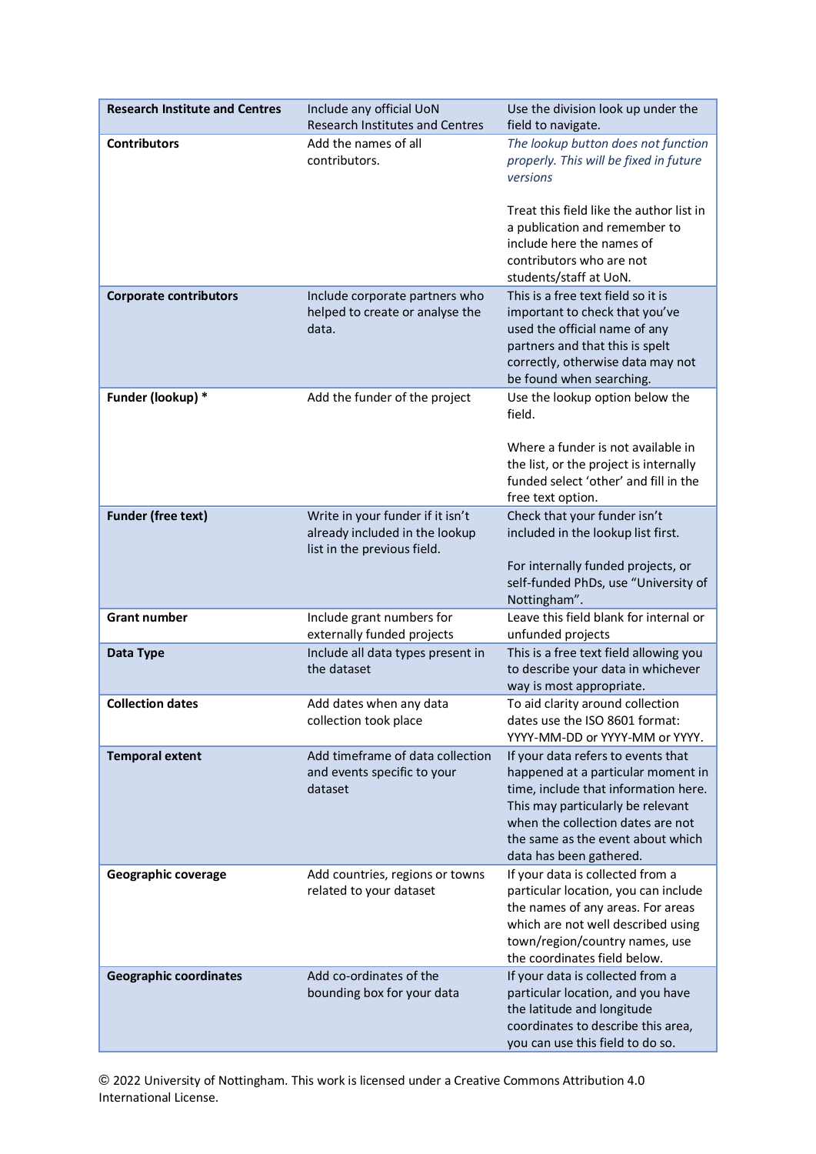| <b>Research Institute and Centres</b> | Include any official UoN<br><b>Research Institutes and Centres</b>                                | Use the division look up under the<br>field to navigate.                                                                                                                                                                                                   |
|---------------------------------------|---------------------------------------------------------------------------------------------------|------------------------------------------------------------------------------------------------------------------------------------------------------------------------------------------------------------------------------------------------------------|
| <b>Contributors</b>                   | Add the names of all<br>contributors.                                                             | The lookup button does not function<br>properly. This will be fixed in future<br>versions                                                                                                                                                                  |
|                                       |                                                                                                   | Treat this field like the author list in<br>a publication and remember to<br>include here the names of<br>contributors who are not<br>students/staff at UoN.                                                                                               |
| <b>Corporate contributors</b>         | Include corporate partners who<br>helped to create or analyse the<br>data.                        | This is a free text field so it is<br>important to check that you've<br>used the official name of any<br>partners and that this is spelt<br>correctly, otherwise data may not<br>be found when searching.                                                  |
| Funder (lookup) *                     | Add the funder of the project                                                                     | Use the lookup option below the<br>field.<br>Where a funder is not available in<br>the list, or the project is internally<br>funded select 'other' and fill in the<br>free text option.                                                                    |
| <b>Funder (free text)</b>             | Write in your funder if it isn't<br>already included in the lookup<br>list in the previous field. | Check that your funder isn't<br>included in the lookup list first.<br>For internally funded projects, or<br>self-funded PhDs, use "University of<br>Nottingham".                                                                                           |
| <b>Grant number</b>                   | Include grant numbers for<br>externally funded projects                                           | Leave this field blank for internal or<br>unfunded projects                                                                                                                                                                                                |
| Data Type                             | Include all data types present in<br>the dataset                                                  | This is a free text field allowing you<br>to describe your data in whichever<br>way is most appropriate.                                                                                                                                                   |
| <b>Collection dates</b>               | Add dates when any data<br>collection took place                                                  | To aid clarity around collection<br>dates use the ISO 8601 format:<br>YYYY-MM-DD or YYYY-MM or YYYY.                                                                                                                                                       |
| <b>Temporal extent</b>                | Add timeframe of data collection<br>and events specific to your<br>dataset                        | If your data refers to events that<br>happened at a particular moment in<br>time, include that information here.<br>This may particularly be relevant<br>when the collection dates are not<br>the same as the event about which<br>data has been gathered. |
| Geographic coverage                   | Add countries, regions or towns<br>related to your dataset                                        | If your data is collected from a<br>particular location, you can include<br>the names of any areas. For areas<br>which are not well described using<br>town/region/country names, use<br>the coordinates field below.                                      |
| <b>Geographic coordinates</b>         | Add co-ordinates of the<br>bounding box for your data                                             | If your data is collected from a<br>particular location, and you have<br>the latitude and longitude<br>coordinates to describe this area,<br>you can use this field to do so.                                                                              |

**©** 2022 University of Nottingham. This work is licensed under a Creative Commons Attribution 4.0 International License.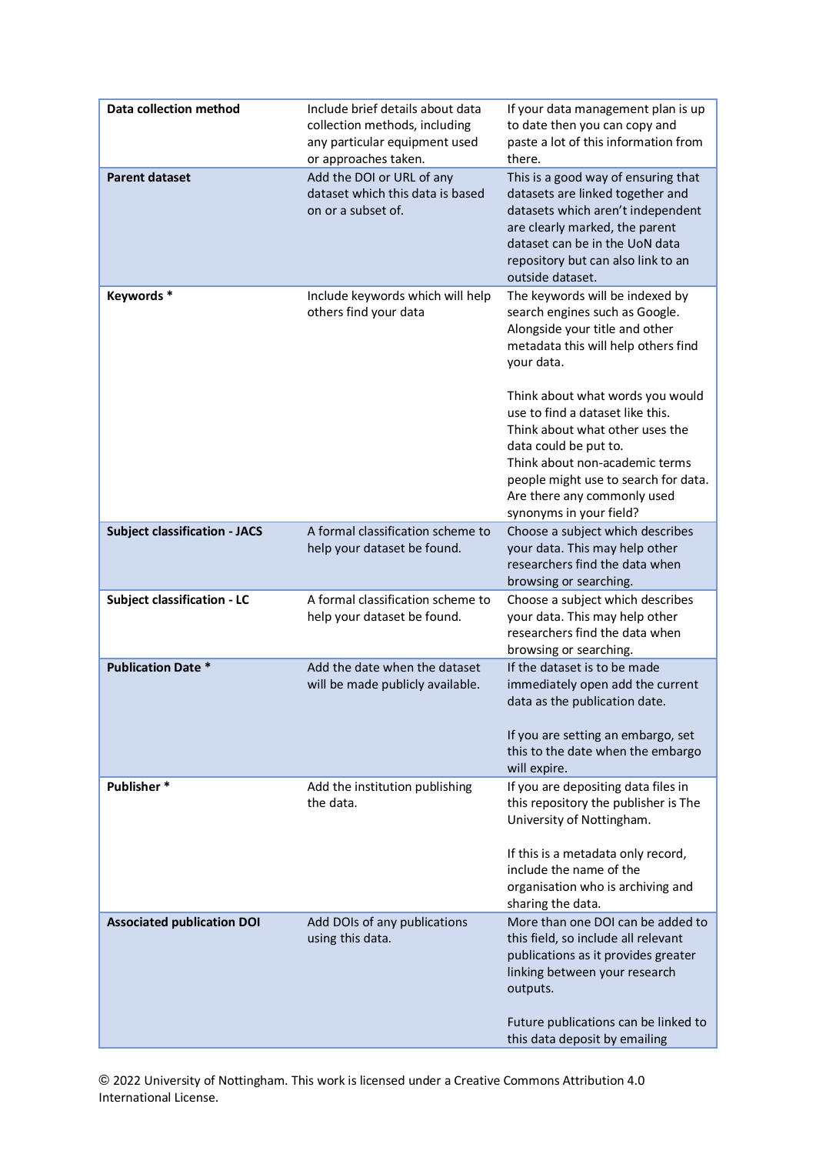| Data collection method               | Include brief details about data<br>collection methods, including<br>any particular equipment used<br>or approaches taken. | If your data management plan is up<br>to date then you can copy and<br>paste a lot of this information from<br>there.                                                                                                                                                |
|--------------------------------------|----------------------------------------------------------------------------------------------------------------------------|----------------------------------------------------------------------------------------------------------------------------------------------------------------------------------------------------------------------------------------------------------------------|
| <b>Parent dataset</b>                | Add the DOI or URL of any<br>dataset which this data is based<br>on or a subset of.                                        | This is a good way of ensuring that<br>datasets are linked together and<br>datasets which aren't independent<br>are clearly marked, the parent<br>dataset can be in the UoN data<br>repository but can also link to an<br>outside dataset.                           |
| Keywords*                            | Include keywords which will help<br>others find your data                                                                  | The keywords will be indexed by<br>search engines such as Google.<br>Alongside your title and other<br>metadata this will help others find<br>your data.                                                                                                             |
|                                      |                                                                                                                            | Think about what words you would<br>use to find a dataset like this.<br>Think about what other uses the<br>data could be put to.<br>Think about non-academic terms<br>people might use to search for data.<br>Are there any commonly used<br>synonyms in your field? |
| <b>Subject classification - JACS</b> | A formal classification scheme to<br>help your dataset be found.                                                           | Choose a subject which describes<br>your data. This may help other<br>researchers find the data when<br>browsing or searching.                                                                                                                                       |
| <b>Subject classification - LC</b>   | A formal classification scheme to<br>help your dataset be found.                                                           | Choose a subject which describes<br>your data. This may help other<br>researchers find the data when<br>browsing or searching.                                                                                                                                       |
| <b>Publication Date *</b>            | Add the date when the dataset<br>will be made publicly available.                                                          | If the dataset is to be made<br>immediately open add the current<br>data as the publication date.<br>If you are setting an embargo, set<br>this to the date when the embargo<br>will expire.                                                                         |
| Publisher*                           | Add the institution publishing<br>the data.                                                                                | If you are depositing data files in<br>this repository the publisher is The<br>University of Nottingham.<br>If this is a metadata only record,<br>include the name of the<br>organisation who is archiving and<br>sharing the data.                                  |
| <b>Associated publication DOI</b>    | Add DOIs of any publications<br>using this data.                                                                           | More than one DOI can be added to<br>this field, so include all relevant<br>publications as it provides greater<br>linking between your research<br>outputs.                                                                                                         |
|                                      |                                                                                                                            | Future publications can be linked to<br>this data deposit by emailing                                                                                                                                                                                                |

**©** 2022 University of Nottingham. This work is licensed under a Creative Commons Attribution 4.0 International License.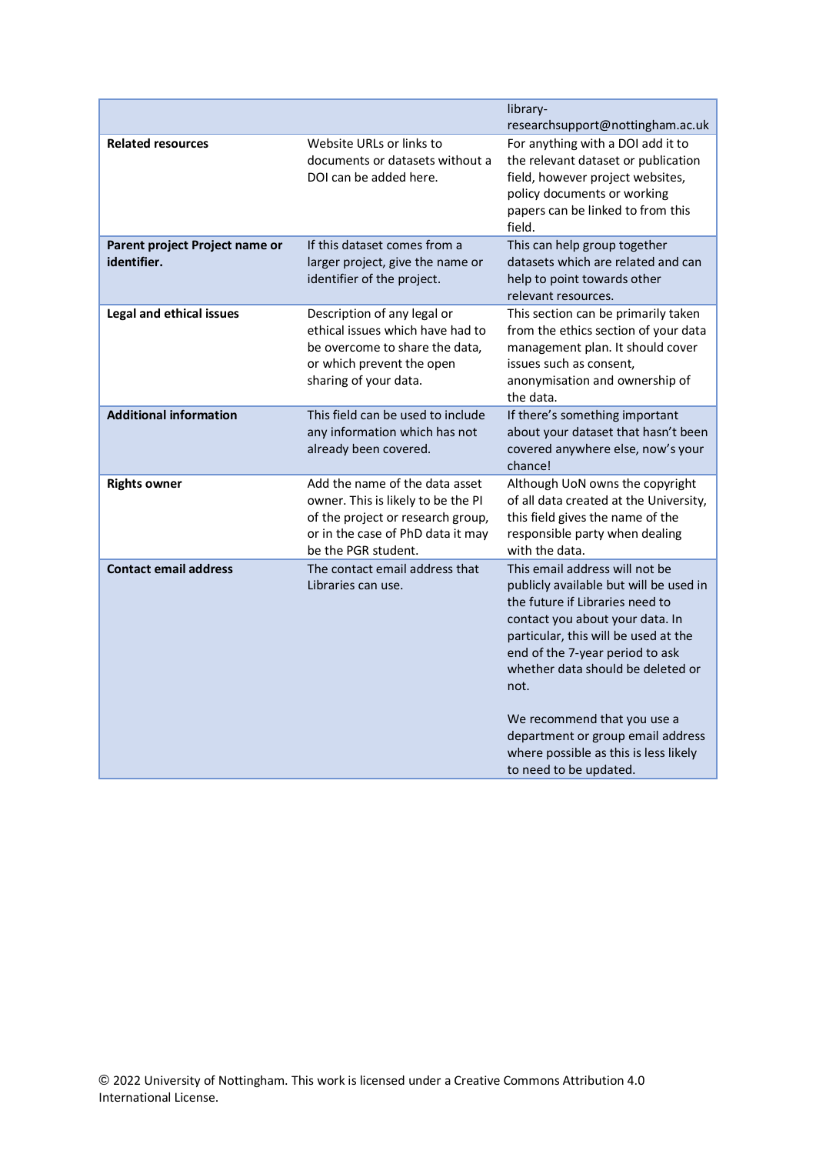|                                               |                                                                                                                                                                       | library-<br>researchsupport@nottingham.ac.uk                                                                                                                                                                                                                                                                                                                                                                  |
|-----------------------------------------------|-----------------------------------------------------------------------------------------------------------------------------------------------------------------------|---------------------------------------------------------------------------------------------------------------------------------------------------------------------------------------------------------------------------------------------------------------------------------------------------------------------------------------------------------------------------------------------------------------|
| <b>Related resources</b>                      | Website URLs or links to<br>documents or datasets without a<br>DOI can be added here.                                                                                 | For anything with a DOI add it to<br>the relevant dataset or publication<br>field, however project websites,<br>policy documents or working<br>papers can be linked to from this<br>field.                                                                                                                                                                                                                    |
| Parent project Project name or<br>identifier. | If this dataset comes from a<br>larger project, give the name or<br>identifier of the project.                                                                        | This can help group together<br>datasets which are related and can<br>help to point towards other<br>relevant resources.                                                                                                                                                                                                                                                                                      |
| <b>Legal and ethical issues</b>               | Description of any legal or<br>ethical issues which have had to<br>be overcome to share the data,<br>or which prevent the open<br>sharing of your data.               | This section can be primarily taken<br>from the ethics section of your data<br>management plan. It should cover<br>issues such as consent,<br>anonymisation and ownership of<br>the data.                                                                                                                                                                                                                     |
| <b>Additional information</b>                 | This field can be used to include<br>any information which has not<br>already been covered.                                                                           | If there's something important<br>about your dataset that hasn't been<br>covered anywhere else, now's your<br>chance!                                                                                                                                                                                                                                                                                         |
| <b>Rights owner</b>                           | Add the name of the data asset<br>owner. This is likely to be the PI<br>of the project or research group,<br>or in the case of PhD data it may<br>be the PGR student. | Although UoN owns the copyright<br>of all data created at the University,<br>this field gives the name of the<br>responsible party when dealing<br>with the data.                                                                                                                                                                                                                                             |
| <b>Contact email address</b>                  | The contact email address that<br>Libraries can use.                                                                                                                  | This email address will not be<br>publicly available but will be used in<br>the future if Libraries need to<br>contact you about your data. In<br>particular, this will be used at the<br>end of the 7-year period to ask<br>whether data should be deleted or<br>not.<br>We recommend that you use a<br>department or group email address<br>where possible as this is less likely<br>to need to be updated. |